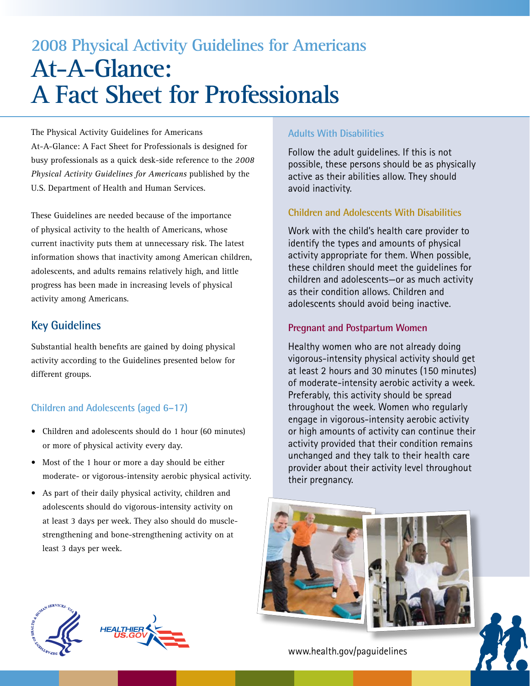# **2008 Physical Activity Guidelines for Americans At-A-Glance: A Fact Sheet for Professionals**

The Physical Activity Guidelines for Americans At-A-Glance: A Fact Sheet for Professionals is designed for busy professionals as a quick desk-side reference to the *2008 Physical Activity Guidelines for Americans* published by the U.S. Department of Health and Human Services.

These Guidelines are needed because of the importance of physical activity to the health of Americans, whose current inactivity puts them at unnecessary risk. The latest information shows that inactivity among American children, adolescents, and adults remains relatively high, and little progress has been made in increasing levels of physical activity among Americans.

## **Key Guidelines**

Substantial health benefits are gained by doing physical activity according to the Guidelines presented below for different groups.

## **Children and Adolescents (aged 6–17)**

- Children and adolescents should do 1 hour (60 minutes) or more of physical activity every day.
- Most of the 1 hour or more a day should be either moderate- or vigorous-intensity aerobic physical activity.
- As part of their daily physical activity, children and adolescents should do vigorous-intensity activity on at least 3 days per week. They also should do musclestrengthening and bone-strengthening activity on at least 3 days per week.

## **Adults With Disabilities**

Follow the adult guidelines. If this is not possible, these persons should be as physically active as their abilities allow. They should avoid inactivity.

## **Children and Adolescents With Disabilities**

Work with the child's health care provider to identify the types and amounts of physical activity appropriate for them. When possible, these children should meet the guidelines for children and adolescents—or as much activity as their condition allows. Children and adolescents should avoid being inactive.

## **Pregnant and Postpartum Women**

Healthy women who are not already doing vigorous-intensity physical activity should get at least 2 hours and 30 minutes (150 minutes) of moderate-intensity aerobic activity a week. Preferably, this activity should be spread throughout the week. Women who regularly engage in vigorous-intensity aerobic activity or high amounts of activity can continue their activity provided that their condition remains unchanged and they talk to their health care provider about their activity level throughout their pregnancy.





[www.health.gov/paguidelines](http://www.health.gov/paguidelines)